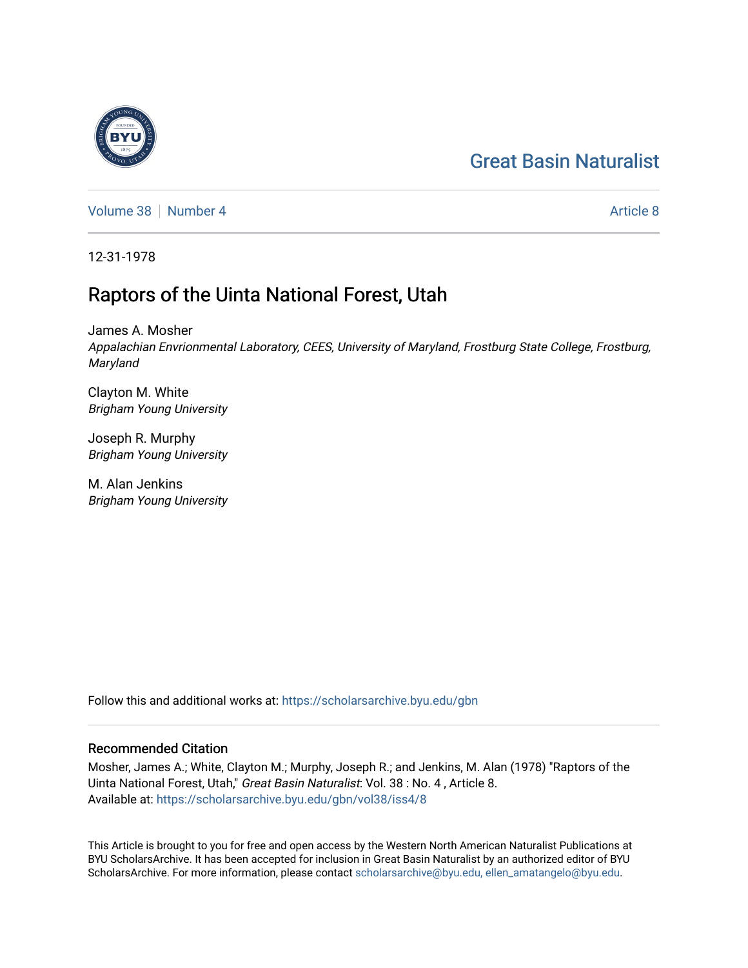# [Great Basin Naturalist](https://scholarsarchive.byu.edu/gbn)

[Volume 38](https://scholarsarchive.byu.edu/gbn/vol38) [Number 4](https://scholarsarchive.byu.edu/gbn/vol38/iss4) [Article 8](https://scholarsarchive.byu.edu/gbn/vol38/iss4/8) Article 8 Article 8

12-31-1978

# Raptors of the Uinta National Forest, Utah

James A. Mosher Appalachian Envrionmental Laboratory, CEES, University of Maryland, Frostburg State College, Frostburg, Maryland

Clayton M. White Brigham Young University

Joseph R. Murphy Brigham Young University

M. Alan Jenkins Brigham Young University

Follow this and additional works at: [https://scholarsarchive.byu.edu/gbn](https://scholarsarchive.byu.edu/gbn?utm_source=scholarsarchive.byu.edu%2Fgbn%2Fvol38%2Fiss4%2F8&utm_medium=PDF&utm_campaign=PDFCoverPages) 

## Recommended Citation

Mosher, James A.; White, Clayton M.; Murphy, Joseph R.; and Jenkins, M. Alan (1978) "Raptors of the Uinta National Forest, Utah," Great Basin Naturalist: Vol. 38 : No. 4 , Article 8. Available at: [https://scholarsarchive.byu.edu/gbn/vol38/iss4/8](https://scholarsarchive.byu.edu/gbn/vol38/iss4/8?utm_source=scholarsarchive.byu.edu%2Fgbn%2Fvol38%2Fiss4%2F8&utm_medium=PDF&utm_campaign=PDFCoverPages)

This Article is brought to you for free and open access by the Western North American Naturalist Publications at BYU ScholarsArchive. It has been accepted for inclusion in Great Basin Naturalist by an authorized editor of BYU ScholarsArchive. For more information, please contact [scholarsarchive@byu.edu, ellen\\_amatangelo@byu.edu.](mailto:scholarsarchive@byu.edu,%20ellen_amatangelo@byu.edu)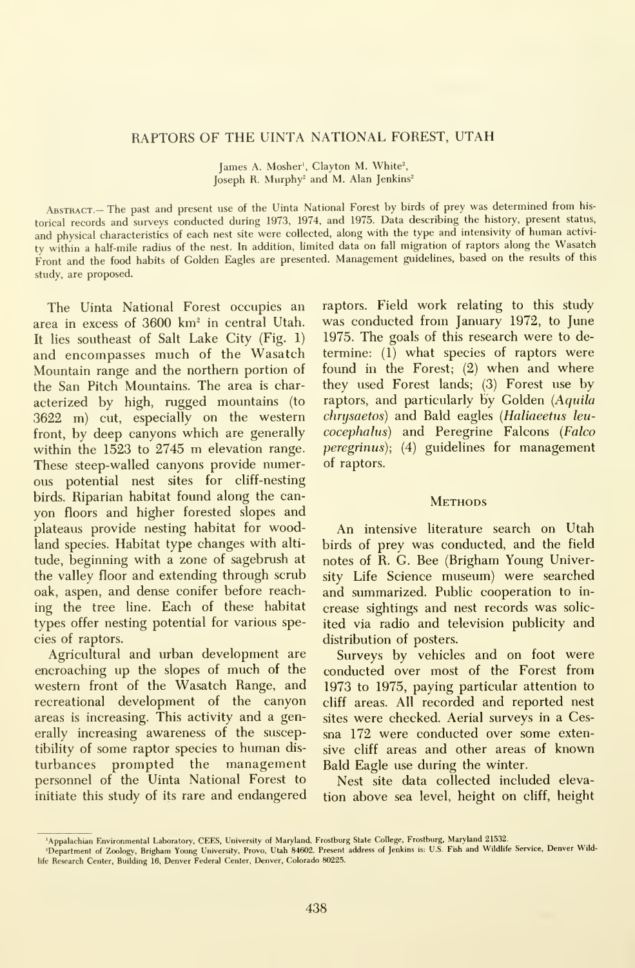### RAPTORS OF THE UINTA NATIONAL FOREST, UTAH

James A. Mosher<sup>1</sup>, Clayton M. White<sup>2</sup>, Joseph R. Murphy<sup>2</sup> and M. Alan Jenkins<sup>2</sup>

Abstract.— The past and present use of the Uinta National Forest by birds of prey was determined from his torical records and surveys conducted during 1973, 1974, and 1975. Data describing the history, present status, and physical characteristics of each nest site were collected, along with the type and intensivity of human activi ty within <sup>a</sup> half-mile radius of the nest. In addition, limited data on fall migration of raptors along the Wasatch Front and the food habits of Golden Eagles are presented. Management guidelines, based on the results of this study, are proposed.

The Uinta National Forest occupies an area in excess of 3600 km<sup>2</sup> in central Utah. It lies southeast of Salt Lake City (Fig. 1) and encompasses much of the Wasatch Mountain range and the northern portion of the San Pitch Mountains. The area is char acterized by high, rugged mountains (to 3622 m) cut, especially on the western front, by deep canyons which are generally within the <sup>1523</sup> to <sup>2745</sup> m elevation range. These steep-walled canyons provide numerous potential nest sites for cliff-nesting birds. Riparian habitat found along the can yon floors and higher forested slopes and plateaus provide nesting habitat for woodland species. Habitat type changes with alti tude, beginning with a zone of sagebrush at the valley floor and extending through scrub oak, aspen, and dense conifer before reaching the tree line. Each of these habitat types offer nesting potential for various species of raptors.

Agricultural and urban development are encroaching up the slopes of much of the western front of the Wasatch Range, and recreational development of the canyon areas is increasing. This activity and a generally increasing awareness of the susceptibility of some raptor species to human dis turbances prompted the management personnel of the Uinta National Forest to initiate this study of its rare and endangered raptors. Field work relating to this study was conducted from January 1972, to June 1975. The goals of this research were to de termine: (1) what species of raptors were found in the Forest; (2) when and where they used Forest lands; (3) Forest use by raptors, and particularly by Golden (Aquila chrysaetos) and Bald eagles {Haliaeetus leu cocephalus) and Peregrine Falcons (Falco peregrinus); (4) guidelines for management of raptors.

#### **METHODS**

An intensive literature search on Utah birds of prey was conducted, and the field notes of R. G. Bee (Brigham Young University Life Science museum) were searched and summarized. Public cooperation to in crease sightings and nest records was solic ited via radio and television publicity and distribution of posters.

Surveys by vehicles and on foot were conducted over most of the Forest from 1973 to 1975, paying particular attention to cliff areas. All recorded and reported nest sites were checked. Aerial surveys in a Cessna 172 were conducted over some extensive cliff areas and other areas of known Bald Eagle use during the winter.

Nest site data collected included elevation above sea level, height on cliff, height

<sup>&#</sup>x27;Appalachian Environmental Laboratory, GEES, University of Maryland, Frostburg State College, Frostburg, Maryland 21532.

<sup>&#</sup>x27;Department of Zoology, Brigham Young University, Provo, Utah 84602. Present address of Jenkins is: U.S. Fish and Wildlife Service, Denver Wildlife Research Center, Building 16, Denver Federal Center, Denver, Colorado 80225.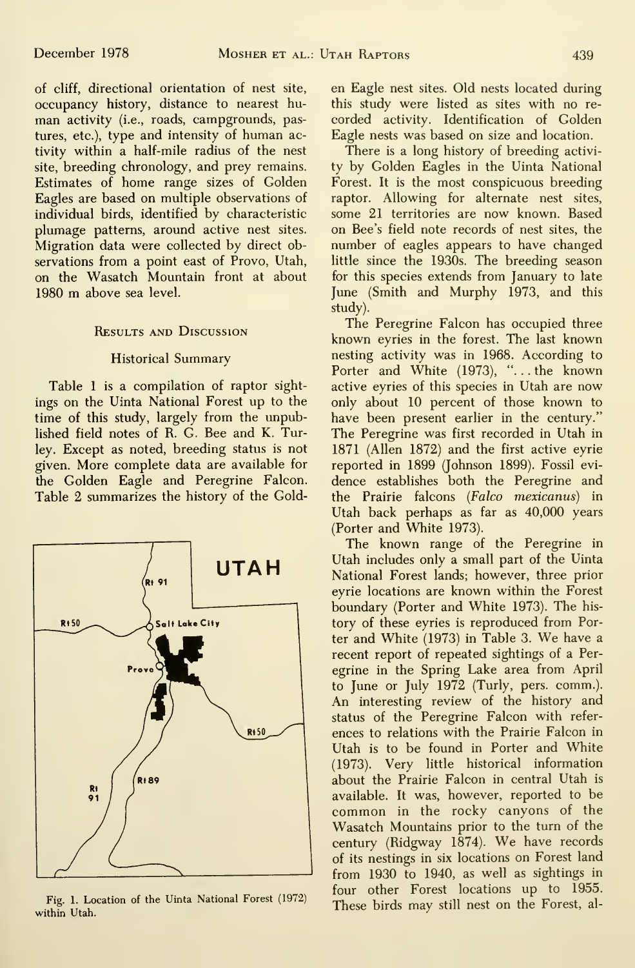of cliff, directional orientation of nest site, occupancy history, distance to nearest hu man activity (i.e., roads, campgrounds, pastures, etc.), type and intensity of human activity within a half-mile radius of the nest site, breeding chronology, and prey remains. Estimates of home range sizes of Golden Eagles are based on multiple observations of individual birds, identified by characteristic plumage patterns, around active nest sites. Migration data were collected by direct observations from a point east of Provo, Utah, on the Wasatch Mountain front at about <sup>1980</sup> m above sea level.

### Results and Discussion

### Historical Summary

Table <sup>1</sup> is a compilation of raptor sightings on the Uinta National Forest up to the time of this study, largely from the unpublished field notes of R. G. Bee and K. Turley. Except as noted, breeding status is not given. More complete data are available for the Golden Eagle and Peregrine Falcon. Table 2 summarizes the history of the Gold-



Fig. 1. Location of the Uinta National Forest (1972) within Utah.

en Eagle nest sites. Old nests located during this study were listed as sites with no re corded activity. Identification of Golden Eagle nests was based on size and location.

There is a long history of breeding activity by Golden Eagles in the Uinta National Forest. It is the most conspicuous breeding raptor. Allowing for alternate nest sites, some 21 territories are now known. Based on Bee's field note records of nest sites, the number of eagles appears to have changed little since the 1930s. The breeding season for this species extends from January to late June (Smith and Murphy 1973, and this study).

The Peregrine Falcon has occupied three known eyries in the forest. The last known nesting activity was in 1968. According to Porter and White (1973), "... the known active eyries of this species in Utah are now only about 10 percent of those known to have been present earlier in the century." The Peregrine was first recorded in Utah in 1871 (Allen 1872) and the first active eyrie reported in 1899 (Johnson 1899). Fossil evi dence establishes both the Peregrine and the Prairie falcons (Falco mexicanus) in Utah back perhaps as far as 40,000 years (Porter and White 1973).

The known range of the Peregrine in Utah includes only a small part of the Uinta National Forest lands; however, three prior eyrie locations are known within the Forest boundary (Porter and White 1973). The his tory of these eyries is reproduced from Porter and White (1973) in Table 3. We have <sup>a</sup> recent report of repeated sightings of a Per egrine in the Spring Lake area from April to June or July 1972 (Turly, pers. comm.). An interesting review of the history and status of the Peregrine Falcon with refer ences to relations with the Prairie Falcon in Utah is to be found in Porter and White (1973). Very little historical information about the Prairie Falcon in central Utah is available. It was, however, reported to be common in the rocky canyons of the Wasatch Mountains prior to the turn of the century (Ridgway 1874). We have records of its nestings in six locations on Forest land from 1930 to 1940, as well as sightings in four other Forest locations up to 1955. These birds may still nest on the Forest, al-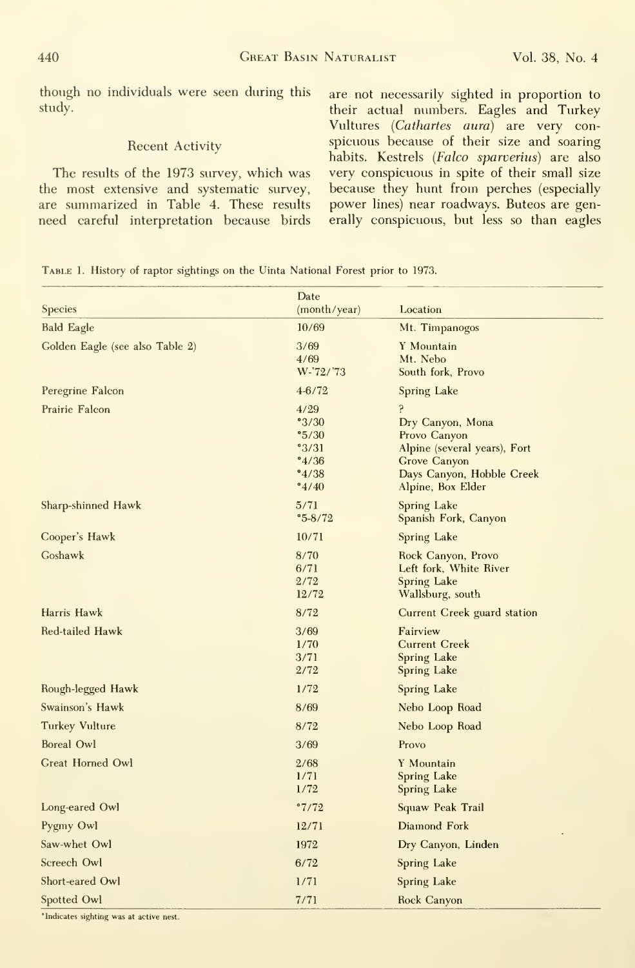though no individuals were seen during this study.

#### Recent Activity

The results of the 1973 survey, which was the most extensive and systematic survey, are summarized in Table 4. These results need careful interpretation because birds are not necessarily sighted in proportion to their actual numbers. Eagles and Turkey Vultures (Cathartes aura) are very conspicuous because of their size and soaring habits. Kestrels (Falco sparverius) are also very conspicuous in spite of their small size because they hunt from perches (especially power lines) near roadways. Buteos are generally conspicuous, but less so than eagles

|  |  | TABLE 1. History of raptor sightings on the Uinta National Forest prior to 1973. |  |
|--|--|----------------------------------------------------------------------------------|--|
|  |  |                                                                                  |  |

| <b>Species</b>                  | Date<br>(month/year)                                                                          | Location                                                                                                                                |
|---------------------------------|-----------------------------------------------------------------------------------------------|-----------------------------------------------------------------------------------------------------------------------------------------|
| <b>Bald Eagle</b>               | 10/69                                                                                         | Mt. Timpanogos                                                                                                                          |
| Golden Eagle (see also Table 2) | 3/69<br>4/69<br>W-'72/'73                                                                     | Y Mountain<br>Mt. Nebo<br>South fork, Provo                                                                                             |
| Peregrine Falcon                | 4-6/72                                                                                        | Spring Lake                                                                                                                             |
| Prairie Falcon                  | 4/29<br>°3/30<br>$^{\circ}5/30$<br>3/31<br>$^{\circ}4/36$<br>$^{\circ}4/38$<br>$^{\circ}4/40$ | ę<br>Dry Canyon, Mona<br>Provo Canyon<br>Alpine (several years), Fort<br>Grove Canyon<br>Days Canyon, Hobble Creek<br>Alpine, Box Elder |
| Sharp-shinned Hawk              | 5/71<br>$^{\circ}5 - 8/72$                                                                    | Spring Lake<br>Spanish Fork, Canyon                                                                                                     |
| Cooper's Hawk                   | 10/71                                                                                         | Spring Lake                                                                                                                             |
| Goshawk                         | 8/70<br>6/71<br>2/72<br>12/72                                                                 | Rock Canyon, Provo<br>Left fork, White River<br><b>Spring Lake</b><br>Wallsburg, south                                                  |
| Harris Hawk                     | 8/72                                                                                          | Current Creek guard station                                                                                                             |
| Red-tailed Hawk                 | 3/69<br>1/70<br>3/71<br>2/72                                                                  | Fairview<br><b>Current Creek</b><br><b>Spring Lake</b><br><b>Spring Lake</b>                                                            |
| Rough-legged Hawk               | 1/72                                                                                          | Spring Lake                                                                                                                             |
| Swainson's Hawk                 | 8/69                                                                                          | Nebo Loop Road                                                                                                                          |
| Turkey Vulture                  | 8/72                                                                                          | Nebo Loop Road                                                                                                                          |
| <b>Boreal Owl</b>               | 3/69                                                                                          | Provo                                                                                                                                   |
| Great Horned Owl                | 2/68<br>1/71<br>1/72                                                                          | Y Mountain<br>Spring Lake<br>Spring Lake                                                                                                |
| Long-eared Owl                  | °7/72                                                                                         | Squaw Peak Trail                                                                                                                        |
| Pygmy Owl                       | 12/71                                                                                         | Diamond Fork                                                                                                                            |
| Saw-whet Owl                    | 1972                                                                                          | Dry Canyon, Linden                                                                                                                      |
| Screech Owl                     | 6/72                                                                                          | Spring Lake                                                                                                                             |
| Short-eared Owl                 | 1/71                                                                                          | <b>Spring Lake</b>                                                                                                                      |
| Spotted Owl                     | 7/71                                                                                          | Rock Canyon                                                                                                                             |

<sup>\*</sup>Indicates sighting was at active nest.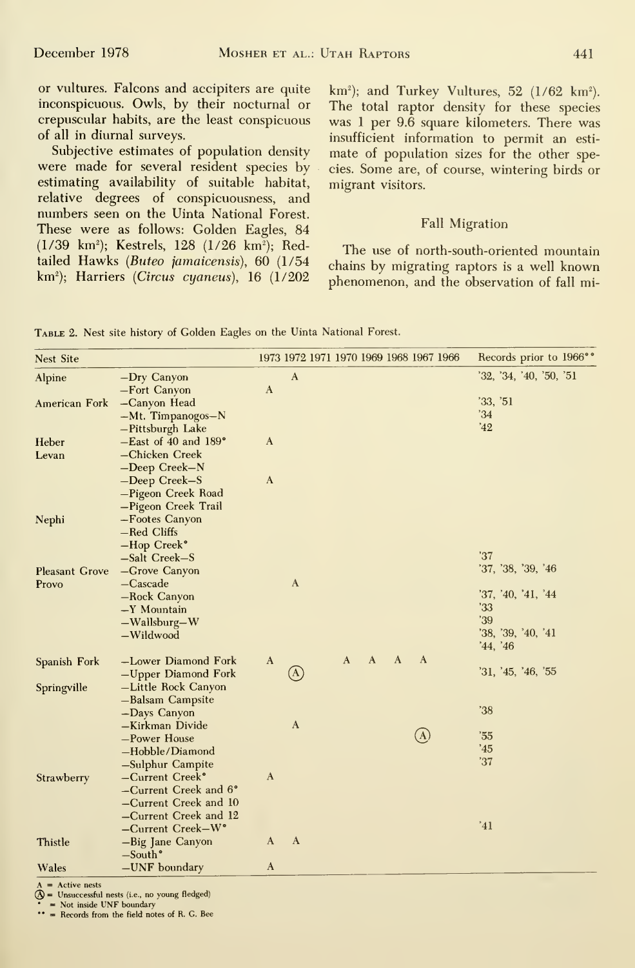or vultures. Falcons and accipiters are quite inconspicuous. Owls, by their nocturnal or crepuscular habits, are the least conspicuous of all in diurnal surveys.

Subjective estimates of population density were made for several resident species by estimating availability of suitable habitat, relative degrees of conspicuousness, and numbers seen on the Uinta National Forest. These were as follows: Golden Eagles, 84 (1/39 km<sup>2</sup>); Kestrels, 128 (1/26 km<sup>2</sup>); Redtailed Hawks (Buteo jamaicensis), 60 (1/54 km<sup>2</sup>); Harriers (Circus cyaneus), 16 (1/202  $km^2$ ); and Turkey Vultures, 52 (1/62 km<sup>2</sup>). The total raptor density for these species was <sup>1</sup> per 9.6 square kilometers. There was insufficient information to permit an esti mate of population sizes for the other species. Some are, of course, wintering birds or migrant visitors.

#### Fall Migration

The use of north-south-oriented mountain chains by migrating raptors is a well known phenomenon, and the observation of fall mi-

Table 2. Nest site history of Golden Eagles on the Uinta National Forest.

| Nest Site             |                                    | 1973 1972 1971 1970 1969 1968 1967 1966                                   | Records prior to 1966°° |
|-----------------------|------------------------------------|---------------------------------------------------------------------------|-------------------------|
| Alpine                | -Dry Canyon                        | $\mathbf{A}$                                                              | 32, 34, 40, 50, 51      |
|                       | -Fort Canyon                       | $\mathbf{A}$                                                              |                         |
| American Fork         | -Canyon Head                       |                                                                           | 33, 51                  |
|                       | $-Mt$ . Timpanogos-N               |                                                                           | 34                      |
|                       | -Pittsburgh Lake                   |                                                                           | '42                     |
| Heber                 | $-$ East of 40 and 189 $^{\circ}$  | $\mathbf{A}$                                                              |                         |
| Levan                 | -Chicken Creek                     |                                                                           |                         |
|                       | -Deep Creek-N                      |                                                                           |                         |
|                       | -Deep Creek-S                      | $\mathbf{A}$                                                              |                         |
|                       | -Pigeon Creek Road                 |                                                                           |                         |
|                       | -Pigeon Creek Trail                |                                                                           |                         |
| Nephi                 | -Footes Canyon                     |                                                                           |                         |
|                       | -Red Cliffs                        |                                                                           |                         |
|                       | $-Hop$ Creek $\degree$             |                                                                           | 37                      |
|                       | $-Salt$ Creek $-S$                 |                                                                           | '37, '38, '39, '46      |
| <b>Pleasant Grove</b> | -Grove Canyon<br>$-Cascade$        | A                                                                         |                         |
| Provo                 | -Rock Canyon                       |                                                                           | '37, '40, '41, '44      |
|                       | $-Y$ Mountain                      |                                                                           | '33                     |
|                       | $-Wallsburg-W$                     |                                                                           | '39                     |
|                       | $-Wildwood$                        |                                                                           | '38, '39, '40, '41      |
|                       |                                    |                                                                           | '44, '46                |
| Spanish Fork          | -Lower Diamond Fork                | $\mathbf{A}$<br>$\Lambda$<br>$\mathbf{A}$<br>$\mathbf{A}$<br>$\mathbf{A}$ |                         |
|                       | -Upper Diamond Fork                | $^\copyright$                                                             | 31, 45, 46, 55          |
| Springville           | -Little Rock Canyon                |                                                                           |                         |
|                       | -Balsam Campsite                   |                                                                           |                         |
|                       | -Days Canyon                       |                                                                           | 38                      |
|                       | -Kirkman Divide                    | $\mathbf{A}$                                                              |                         |
|                       | -Power House                       | (A)                                                                       | 35                      |
|                       | -Hobble/Diamond                    |                                                                           | '45                     |
|                       | -Sulphur Campite                   |                                                                           | '37                     |
| Strawberry            | -Current Creek°                    | $\mathbf{A}$                                                              |                         |
|                       | -Current Creek and 6°              |                                                                           |                         |
|                       | -Current Creek and 10              |                                                                           |                         |
|                       | -Current Creek and 12              |                                                                           |                         |
|                       | $-Current$ Creek $-W$ <sup>o</sup> |                                                                           | '41                     |
| Thistle               | -Big Jane Canyon                   | $\mathbf{A}$<br>A                                                         |                         |
|                       | $-South°$                          |                                                                           |                         |
| Wales                 | $-UNF$ boundary                    | $\mathbf{A}$                                                              |                         |

 $A =$  Active nests<br>  $A =$  Unsuccessful nests (i.e., no young fledged)

• = Not inside UNF boundary

= Records from the field notes of R. G. Bee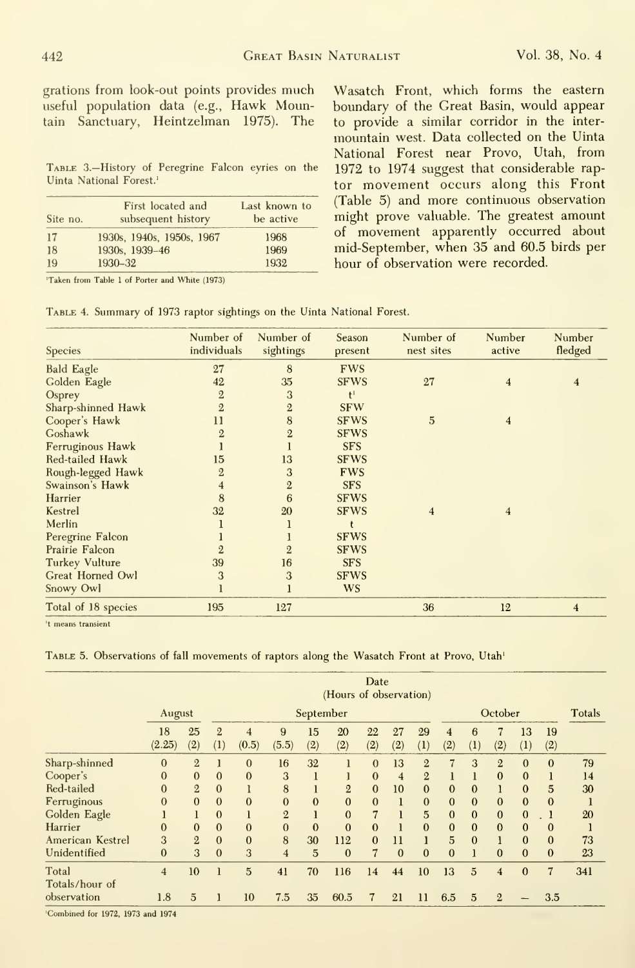grations from look-out points provides much useful population data (e.g., Hawk Mountain Sanctuary, Heintzelman 1975). The

Table 3.—History of Peregrine Falcon eyries on the Uinta National Forest.'

| Site no. | First located and<br>subsequent history | Last known to<br>be active |
|----------|-----------------------------------------|----------------------------|
| -17      | 1930s, 1940s, 1950s, 1967               | 1968                       |
| 18       | 1930s, 1939-46                          | 1969                       |
| 19       | 1930-32                                 | 1932                       |

'Taken from Table <sup>1</sup> of Porter and White (1973)

Table 4. Summary of 1973 raptor sightings on the Uinta National Forest.

Wasatch Front, which forms the eastern boundary of the Great Basin, would appear to provide a similar corridor in the inter mountain west. Data collected on the Uinta National Forest near Provo, Utah, from 1972 to 1974 suggest that considerable rap tor movement occurs along this Front (Table 5) and more continuous observation might prove valuable. The greatest amount of movement apparently occurred about mid-September, when 35 and 60.5 birds per hour of observation were recorded.

| Number of<br>individuals | Number of<br>sightings | Season<br>present | Number of<br>nest sites | Number<br>active | Number<br>fledged       |
|--------------------------|------------------------|-------------------|-------------------------|------------------|-------------------------|
| 27                       | 8                      | <b>FWS</b>        |                         |                  |                         |
| 42                       | 35                     | <b>SFWS</b>       | 27                      | $\overline{4}$   | $\overline{4}$          |
| $\overline{2}$           | 3                      | t <sup>1</sup>    |                         |                  |                         |
| $\overline{2}$           | $\overline{2}$         | <b>SFW</b>        |                         |                  |                         |
| 11                       | 8                      | <b>SFWS</b>       | 5                       | $\overline{4}$   |                         |
| $\overline{2}$           | $\overline{2}$         | <b>SFWS</b>       |                         |                  |                         |
|                          |                        | <b>SFS</b>        |                         |                  |                         |
| 15                       | 13                     | <b>SFWS</b>       |                         |                  |                         |
| $\overline{2}$           | 3                      | <b>FWS</b>        |                         |                  |                         |
| 4                        | $\overline{2}$         | <b>SFS</b>        |                         |                  |                         |
| 8                        | 6                      | <b>SFWS</b>       |                         |                  |                         |
| 32                       | 20                     | <b>SFWS</b>       | $\overline{\mathbf{4}}$ | $\overline{4}$   |                         |
|                          |                        |                   |                         |                  |                         |
|                          |                        | <b>SFWS</b>       |                         |                  |                         |
| 2                        | $\overline{2}$         | <b>SFWS</b>       |                         |                  |                         |
| 39                       | 16                     | <b>SFS</b>        |                         |                  |                         |
| 3                        | 3                      | <b>SFWS</b>       |                         |                  |                         |
|                          |                        | <b>WS</b>         |                         |                  |                         |
| 195                      | 127                    |                   | 36                      | 12               | $\overline{\mathbf{4}}$ |
|                          |                        |                   |                         |                  |                         |

't means transient

TABLE 5. Observations of fall movements of raptors along the Wasatch Front at Provo, Utah<sup>1</sup>

|                         | Date<br>(Hours of observation) |                |                            |                         |                |              |                |                |                |                |                            |                       |                         |              |              |        |
|-------------------------|--------------------------------|----------------|----------------------------|-------------------------|----------------|--------------|----------------|----------------|----------------|----------------|----------------------------|-----------------------|-------------------------|--------------|--------------|--------|
|                         | August                         |                |                            |                         |                | September    |                |                |                |                | October                    |                       |                         |              |              | Totals |
|                         | 18<br>(2.25)                   | 25<br>(2)      | $\overline{2}$<br>$\rm(1)$ | $\overline{4}$<br>(0.5) | 9<br>(5.5)     | 15<br>(2)    | 20<br>(2)      | 22<br>(2)      | 27<br>(2)      | 29<br>(1)      | $\overline{\bf{4}}$<br>(2) | 6<br>$\left(1\right)$ | (2)                     | 13<br>(1)    | 19<br>(2)    |        |
| Sharp-shinned           | $\Omega$                       | $\overline{2}$ |                            | $\mathbf{0}$            | 16             | 32           | 1              | $\Omega$       | 13             | $\overline{2}$ | $\overline{7}$             | 3                     | $\overline{2}$          | $\mathbf{0}$ | $\mathbf{0}$ | 79     |
| Cooper's                | $\theta$                       | $\mathbf{0}$   | $\bf{0}$                   | $\mathbf{0}$            | 3              |              | l              | $\mathbf{0}$   | $\overline{4}$ | $\overline{2}$ | ı                          |                       | $\bf{0}$                | $\mathbf{0}$ |              | 14     |
| Red-tailed              | $\mathbf{0}$                   | $\overline{2}$ | $\mathbf{0}$               |                         | 8              |              | $\overline{2}$ | $\Omega$       | 10             | $\theta$       | $\mathbf{0}$               | $\Omega$              |                         | $\bf{0}$     | 5            | 30     |
| Ferruginous             | $\mathbf{0}$                   | $\mathbf{0}$   | $\overline{0}$             | $\mathbf{0}$            | $\mathbf{0}$   | $\mathbf{0}$ | $\mathbf{0}$   | $\Omega$       |                | $\Omega$       | $\Omega$                   | $\theta$              | $\mathbf{0}$            | $\bf{0}$     | $\mathbf{0}$ |        |
| Golden Eagle            |                                |                | $\bf{0}$                   |                         | $\overline{2}$ |              | $\mathbf{0}$   | $\overline{7}$ |                | 5              | $\mathbf{0}$               | $\Omega$              | $\mathbf{0}$            | $\mathbf{0}$ |              | 20     |
| Harrier                 | $\mathbf{0}$                   | $\mathbf{0}$   | $\bf{0}$                   | $\theta$                | $\mathbf{0}$   | $\mathbf{0}$ | $\mathbf{0}$   | $\mathbf{0}$   |                | $\mathbf{0}$   | $\mathbf{0}$               | $\Omega$              | $\mathbf{0}$            | $\mathbf{0}$ | $\mathbf{0}$ |        |
| American Kestrel        | 3                              | $\overline{2}$ | $\Omega$                   | $\mathbf{0}$            | 8              | 30           | 112            | $\Omega$       | 11             |                | $\overline{5}$             | $\Omega$              |                         | $\bf{0}$     | $\mathbf{0}$ | 73     |
| Unidentified            | $\mathbf{0}$                   | 3              | $\overline{0}$             | 3                       | $\overline{4}$ | 5            | $\mathbf{0}$   | 7              | $\mathbf{0}$   | $\mathbf{0}$   | $\theta$                   |                       | $\theta$                | $\mathbf{0}$ | $\mathbf{0}$ | 23     |
| Total<br>Totals/hour of | $\overline{4}$                 | 10             |                            | 5                       | 41             | 70           | 116            | 14             | 44             | 10             | 13                         | $\overline{5}$        | $\overline{\mathbf{4}}$ | $\mathbf{0}$ | 7            | 341    |
| observation             | 1.8                            | $\overline{5}$ |                            | 10                      | 7.5            | 35           | 60.5           | 7              | 21             | 11             | 6.5                        | 5                     | $\overline{2}$          |              | 3.5          |        |

'Combined for 1972, 1973 and 1974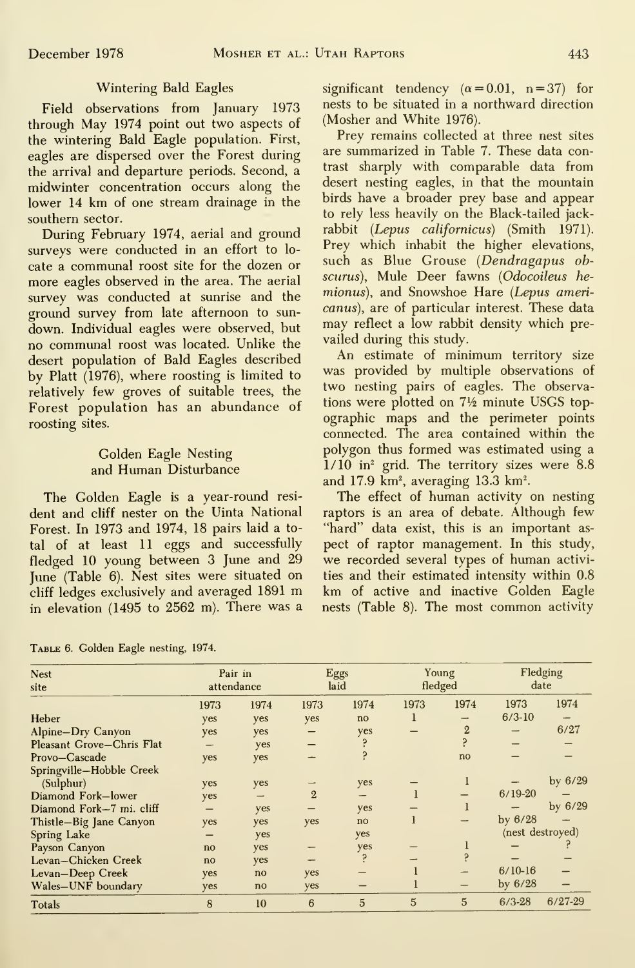# Wintering Bald Eagles

Field observations from January 1973  $\frac{11}{4}$ through May 1974 point out two aspects of the wintering Bald Eagle population. First, eagles are dispersed over the Forest during the arrival and departure periods. Second, a midwinter concentration occurs along the lower 14 km of one stream drainage in the southern sector.

During February 1974, aerial and ground surveys were conducted in an effort to lo cate a communal roost site for the dozen or more eagles observed in the area. The aerial survey was conducted at sunrise and the ground survey from late afternoon to sun down. Individual eagles were observed, but no communal roost was located. Unlike the desert population of Bald Eagles described by Piatt (1976), where roosting is limited to relatively few groves of suitable trees, the Forest population has an abundance of roosting sites.

### Golden Eagle Nesting and Human Disturbance

The Golden Eagle is a year-round resi dent and cliff nester on the Uinta National Forest. In 1973 and 1974, 18 pairs laid a total of at least 11 eggs and successfully fledged 10 young between 3 June and 29 June (Table 6). Nest sites were situated on cliff ledges exclusively and averaged <sup>1891</sup> m in elevation (1495 to 2562 m). There was a

Table 6. Golden Eagle nesting, 1974.

significant tendency  $(\alpha = 0.01, n = 37)$  for nests to be situated in a northward direction (Mosher and White 1976).

Prey remains collected at three nest sites are summarized in Table 7. These data contrast sharply with comparable data from desert nesting eagles, in that the mountain birds have a broader prey base and appear to rely less heavily on the Black-tailed jack rabbit {Lepus californicus) (Smith 1971). Prey which inhabit the higher elevations, such as Blue Grouse (Dendragapus obscurus). Mule Deer fawns (Odocoileus he mionus), and Snowshoe Hare (Lepus americanus), are of particular interest. These data may reflect a low rabbit density which pre vailed during this study.

An estimate of minimum territory size was provided by multiple observations of two nesting pairs of eagles. The observations were plotted on 7<sup>1</sup>/<sub>2</sub> minute USGS topographic maps and the perimeter points connected. The area contained within the polygon thus formed was estimated using a  $1/10$  in<sup>2</sup> grid. The territory sizes were 8.8 and 17.9 km<sup>2</sup>, averaging 13.3 km<sup>2</sup>.

The effect of human activity on nesting raptors is an area of debate. Although few "hard" data exist, this is an important aspect of raptor management. In this study, we recorded several types of human activities and their estimated intensity within 0.8 km of active and inactive Golden Eagle nests (Table 8). The most common activity

| <b>Nest</b>               | Pair in<br>attendance |               | Eggs<br>laid   |      | Young<br>fledged |                | Fledging<br>date |           |
|---------------------------|-----------------------|---------------|----------------|------|------------------|----------------|------------------|-----------|
| site                      |                       |               |                |      |                  |                |                  |           |
|                           | 1973                  | 1974          | 1973           | 1974 | 1973             | 1974           | 1973             | 1974      |
| Heber                     | yes                   | yes           | yes            | no   |                  |                | $6/3-10$         |           |
| Alpine-Dry Canyon         | yes                   | yes           |                | yes  |                  | $\overline{2}$ |                  | 6/27      |
| Pleasant Grove-Chris Flat |                       | yes           |                |      |                  |                |                  |           |
| Provo-Cascade             | yes                   | yes           |                |      |                  | no             |                  |           |
| Springville-Hobble Creek  |                       |               |                |      |                  |                |                  |           |
| (Sulphur)                 | yes                   | yes           |                | yes  |                  |                |                  | by $6/29$ |
| Diamond Fork-lower        | yes                   |               | $\overline{2}$ | -    |                  |                | $6/19-20$        |           |
| Diamond Fork-7 mi. cliff  |                       | yes           |                | yes  |                  |                |                  | by $6/29$ |
| Thistle-Big Jane Canyon   | yes                   | yes           | yes            | no   |                  |                | by $6/28$        |           |
| Spring Lake               |                       | yes           |                | yes  |                  |                | (nest destroyed) |           |
| Payson Canyon             | no                    | yes           |                | yes  |                  |                |                  |           |
| Levan-Chicken Creek       | no                    | yes           |                |      |                  |                |                  |           |
| Levan-Deep Creek          | yes                   | $\mathbf{no}$ | yes            |      |                  |                | $6/10-16$        |           |
| Wales-UNF boundary        | yes                   | no            | yes            |      |                  |                | by $6/28$        |           |
| Totals                    | 8                     | 10            | 6              | 5    | $\overline{5}$   | 5              | $6/3 - 28$       | $6/27-29$ |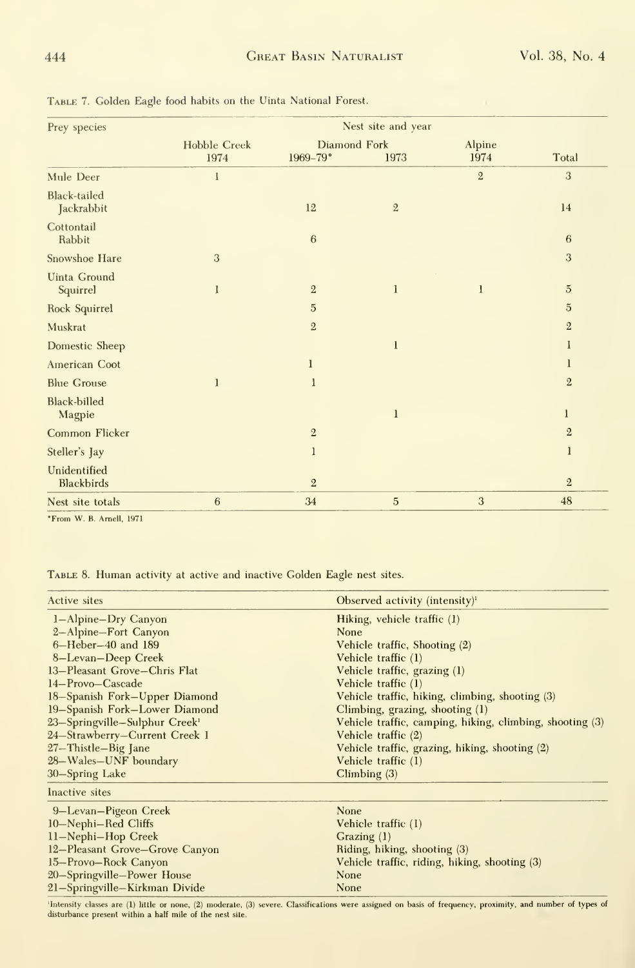| Prey species                      | Nest site and year  |                |                |                |                |  |  |  |  |  |
|-----------------------------------|---------------------|----------------|----------------|----------------|----------------|--|--|--|--|--|
|                                   | <b>Hobble Creek</b> | Diamond Fork   |                | Alpine         |                |  |  |  |  |  |
|                                   | 1974                | 1969-79°       | 1973           | 1974           | Total          |  |  |  |  |  |
| Mule Deer                         | 1                   |                |                | $\overline{2}$ | 3              |  |  |  |  |  |
| <b>Black-tailed</b><br>Jackrabbit |                     | 12             | $\sqrt{2}$     |                | 14             |  |  |  |  |  |
| Cottontail<br>Rabbit              |                     | 6              |                |                | 6              |  |  |  |  |  |
| Snowshoe Hare                     | 3                   |                |                |                | 3              |  |  |  |  |  |
| <b>Uinta Ground</b><br>Squirrel   | 1                   | $\overline{2}$ | $\bf{l}$       | 1              | $\overline{5}$ |  |  |  |  |  |
| Rock Squirrel                     |                     | $\overline{5}$ |                |                | $\overline{5}$ |  |  |  |  |  |
| Muskrat                           |                     | $\overline{2}$ |                |                | $\overline{2}$ |  |  |  |  |  |
| Domestic Sheep                    |                     |                | $\mathbf{1}$   |                | 1              |  |  |  |  |  |
| American Coot                     |                     | 1              |                |                | 1              |  |  |  |  |  |
| <b>Blue Grouse</b>                | 1                   | 1              |                |                | $\overline{2}$ |  |  |  |  |  |
| <b>Black-billed</b><br>Magpie     |                     |                | $\mathbf{1}$   |                | 1              |  |  |  |  |  |
| Common Flicker                    |                     | $\overline{2}$ |                |                | $\overline{2}$ |  |  |  |  |  |
| Steller's Jay                     |                     | 1              |                |                | $\mathbf{l}$   |  |  |  |  |  |
| Unidentified<br><b>Blackbirds</b> |                     | $\overline{2}$ |                |                | $\overline{2}$ |  |  |  |  |  |
| Nest site totals                  | $\boldsymbol{6}$    | 34             | $\overline{5}$ | 3              | 48             |  |  |  |  |  |

Table 7. Golden Eagle food habits on the Uinta National Forest.

\*From W. B. Arnell, 1971

20-Springville-Power House

21-Springville-Kirkman Divide

TABLE 8. Human activity at active and inactive Golden Eagle nest sites.

| Active sites                                         | Observed activity (intensity) <sup>1</sup>               |
|------------------------------------------------------|----------------------------------------------------------|
| 1-Alpine-Dry Canyon                                  | Hiking, vehicle traffic (1)                              |
| 2-Alpine-Fort Canyon                                 | None                                                     |
| $6 -$ Heber $-40$ and 189                            | Vehicle traffic, Shooting (2)                            |
| 8-Levan-Deep Creek                                   | Vehicle traffic (1)                                      |
| 13-Pleasant Grove-Chris Flat                         | Vehicle traffic, grazing (1)                             |
| 14-Provo-Cascade                                     | Vehicle traffic (1)                                      |
| 18-Spanish Fork-Upper Diamond                        | Vehicle traffic, hiking, climbing, shooting (3)          |
| 19-Spanish Fork-Lower Diamond                        | Climbing, grazing, shooting $(1)$                        |
| 23-Springville-Sulphur Creek <sup>1</sup>            | Vehicle traffic, camping, hiking, climbing, shooting (3) |
| 24-Strawberry-Current Creek 1                        | Vehicle traffic (2)                                      |
| $27 - \text{This}$ and $\text{Big}$ and $\text{Big}$ | Vehicle traffic, grazing, hiking, shooting (2)           |
| 28-Wales-UNF boundary                                | Vehicle traffic (1)                                      |
| 30–Spring Lake                                       | Climbing $(3)$                                           |
| Inactive sites                                       |                                                          |
| 9-Levan-Pigeon Creek                                 | <b>None</b>                                              |
| 10-Nephi-Red Cliffs                                  | Vehicle traffic (1)                                      |
| 11-Nephi-Hop Creek                                   | Grazing $(1)$                                            |
| 12-Pleasant Grove-Grove Canyon                       | Riding, hiking, shooting (3)                             |
| 15-Provo-Rock Canyon                                 | Vehicle traffic, riding, hiking, shooting (3)            |

'Intensity classes are (1) little or none, (2) moderate, (3) severe. Classifications were assigned on basis of frequency, proximity, and number of types of disturbance present within a half mile of the nest site.

None

None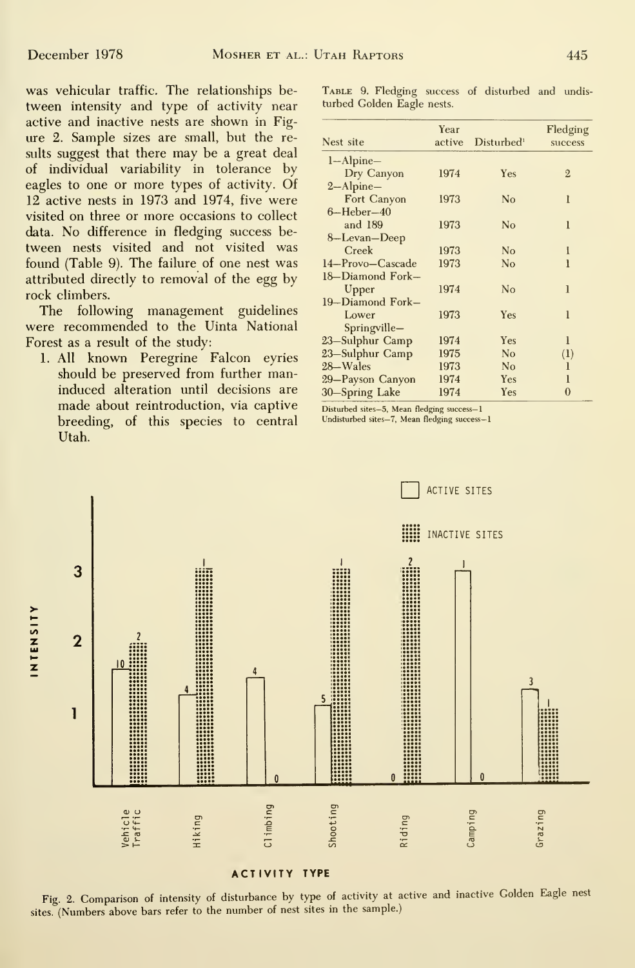was vehicular traffic. The relationships be tween intensity and type of activity near active and inactive nests are shown in Fig ure 2. Sample sizes are small, but the results suggest that there may be a great deal of individual variability in tolerance by eagles to one or more types of activity. Of 12 active nests in 1973 and 1974, five were visited on three or more occasions to collect data. No difference in fledging success be tween nests visited and not visited was found (Table 9). The failure of one nest was attributed directly to removal of the egg by rock climbers.

The following management guidelines were recommended to the Uinta National Forest as a result of the study:

1. All known Peregrine Falcon eyries should be preserved from further maninduced alteration until decisions are made about reintroduction, via captive<br>
hreeding of this species to central Undisturbed sites-7, Mean fledging success-1 breeding, of this species to central Utah.

TABLE 9. Fledging success of disturbed and undisturbed Golden Eagle nests.

| Year |                | Fledging               |
|------|----------------|------------------------|
|      |                | success                |
|      |                |                        |
| 1974 | Yes            | $\overline{2}$         |
|      |                |                        |
| 1973 | No             | ı                      |
|      |                |                        |
| 1973 | N <sub>o</sub> | 1                      |
|      |                |                        |
| 1973 | No             | I                      |
| 1973 | No             | ı                      |
|      |                |                        |
| 1974 | No             | 1                      |
|      |                |                        |
| 1973 | Yes            | 1                      |
|      |                |                        |
| 1974 | Yes            | 1                      |
| 1975 | N <sub>o</sub> | (1)                    |
| 1973 | N <sub>0</sub> | 1                      |
| 1974 | Yes            | 1                      |
| 1974 | Yes            | $\bf{0}$               |
|      | active         | Disturbed <sup>1</sup> |



Fig. 2. Comparison of intensity of disturbance by type of activity at active and inactive Golden Eagle nest sites. (Numbers above bars refer to the number of nest sites in the sample.)